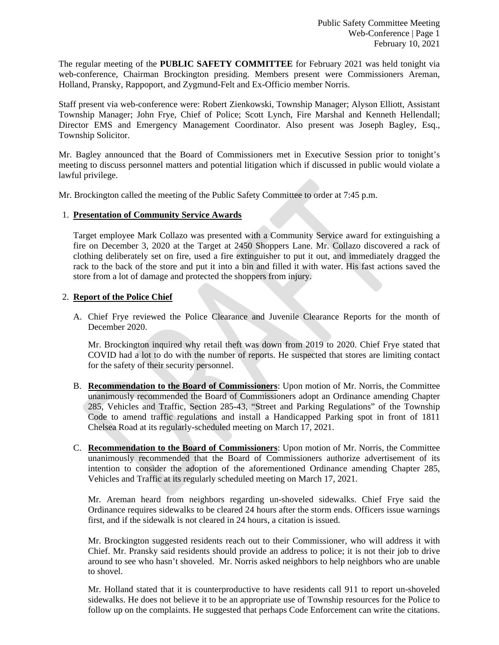The regular meeting of the **PUBLIC SAFETY COMMITTEE** for February 2021 was held tonight via web-conference, Chairman Brockington presiding. Members present were Commissioners Areman, Holland, Pransky, Rappoport, and Zygmund-Felt and Ex-Officio member Norris.

Staff present via web-conference were: Robert Zienkowski, Township Manager; Alyson Elliott, Assistant Township Manager; John Frye, Chief of Police; Scott Lynch, Fire Marshal and Kenneth Hellendall; Director EMS and Emergency Management Coordinator. Also present was Joseph Bagley, Esq., Township Solicitor.

Mr. Bagley announced that the Board of Commissioners met in Executive Session prior to tonight's meeting to discuss personnel matters and potential litigation which if discussed in public would violate a lawful privilege.

Mr. Brockington called the meeting of the Public Safety Committee to order at 7:45 p.m.

### 1. **Presentation of Community Service Awards**

 Target employee Mark Collazo was presented with a Community Service award for extinguishing a fire on December 3, 2020 at the Target at 2450 Shoppers Lane. Mr. Collazo discovered a rack of clothing deliberately set on fire, used a fire extinguisher to put it out, and immediately dragged the rack to the back of the store and put it into a bin and filled it with water. His fast actions saved the store from a lot of damage and protected the shoppers from injury.

### 2. **Report of the Police Chief**

A. Chief Frye reviewed the Police Clearance and Juvenile Clearance Reports for the month of December 2020.

Mr. Brockington inquired why retail theft was down from 2019 to 2020. Chief Frye stated that COVID had a lot to do with the number of reports. He suspected that stores are limiting contact for the safety of their security personnel.

- B. **Recommendation to the Board of Commissioners**: Upon motion of Mr. Norris, the Committee unanimously recommended the Board of Commissioners adopt an Ordinance amending Chapter 285, Vehicles and Traffic, Section 285-43, "Street and Parking Regulations" of the Township Code to amend traffic regulations and install a Handicapped Parking spot in front of 1811 Chelsea Road at its regularly-scheduled meeting on March 17, 2021.
- C. **Recommendation to the Board of Commissioners**: Upon motion of Mr. Norris, the Committee unanimously recommended that the Board of Commissioners authorize advertisement of its intention to consider the adoption of the aforementioned Ordinance amending Chapter 285, Vehicles and Traffic at its regularly scheduled meeting on March 17, 2021.

Mr. Areman heard from neighbors regarding un-shoveled sidewalks. Chief Frye said the Ordinance requires sidewalks to be cleared 24 hours after the storm ends. Officers issue warnings first, and if the sidewalk is not cleared in 24 hours, a citation is issued.

Mr. Brockington suggested residents reach out to their Commissioner, who will address it with Chief. Mr. Pransky said residents should provide an address to police; it is not their job to drive around to see who hasn't shoveled. Mr. Norris asked neighbors to help neighbors who are unable to shovel.

Mr. Holland stated that it is counterproductive to have residents call 911 to report un-shoveled sidewalks. He does not believe it to be an appropriate use of Township resources for the Police to follow up on the complaints. He suggested that perhaps Code Enforcement can write the citations.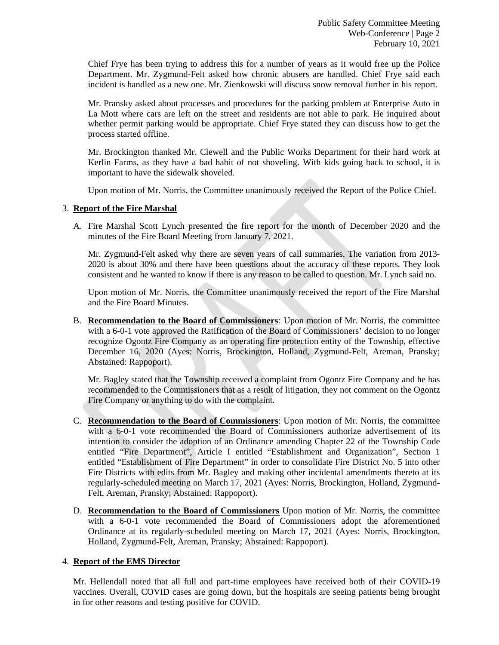Chief Frye has been trying to address this for a number of years as it would free up the Police Department. Mr. Zygmund-Felt asked how chronic abusers are handled. Chief Frye said each incident is handled as a new one. Mr. Zienkowski will discuss snow removal further in his report.

Mr. Pransky asked about processes and procedures for the parking problem at Enterprise Auto in La Mott where cars are left on the street and residents are not able to park. He inquired about whether permit parking would be appropriate. Chief Frye stated they can discuss how to get the process started offline.

Mr. Brockington thanked Mr. Clewell and the Public Works Department for their hard work at Kerlin Farms, as they have a bad habit of not shoveling. With kids going back to school, it is important to have the sidewalk shoveled.

Upon motion of Mr. Norris, the Committee unanimously received the Report of the Police Chief.

# 3. **Report of the Fire Marshal**

A. Fire Marshal Scott Lynch presented the fire report for the month of December 2020 and the minutes of the Fire Board Meeting from January 7, 2021.

Mr. Zygmund-Felt asked why there are seven years of call summaries. The variation from 2013- 2020 is about 30% and there have been questions about the accuracy of these reports. They look consistent and he wanted to know if there is any reason to be called to question. Mr. Lynch said no.

Upon motion of Mr. Norris, the Committee unanimously received the report of the Fire Marshal and the Fire Board Minutes.

B. **Recommendation to the Board of Commissioners**: Upon motion of Mr. Norris, the committee with a 6-0-1 vote approved the Ratification of the Board of Commissioners' decision to no longer recognize Ogontz Fire Company as an operating fire protection entity of the Township, effective December 16, 2020 (Ayes: Norris, Brockington, Holland, Zygmund-Felt, Areman, Pransky; Abstained: Rappoport).

Mr. Bagley stated that the Township received a complaint from Ogontz Fire Company and he has recommended to the Commissioners that as a result of litigation, they not comment on the Ogontz Fire Company or anything to do with the complaint.

- C. **Recommendation to the Board of Commissioners**: Upon motion of Mr. Norris, the committee with a 6-0-1 vote recommended the Board of Commissioners authorize advertisement of its intention to consider the adoption of an Ordinance amending Chapter 22 of the Township Code entitled "Fire Department", Article I entitled "Establishment and Organization", Section 1 entitled "Establishment of Fire Department" in order to consolidate Fire District No. 5 into other Fire Districts with edits from Mr. Bagley and making other incidental amendments thereto at its regularly-scheduled meeting on March 17, 2021 (Ayes: Norris, Brockington, Holland, Zygmund-Felt, Areman, Pransky; Abstained: Rappoport).
- D. **Recommendation to the Board of Commissioners** Upon motion of Mr. Norris, the committee with a 6-0-1 vote recommended the Board of Commissioners adopt the aforementioned Ordinance at its regularly-scheduled meeting on March 17, 2021 (Ayes: Norris, Brockington, Holland, Zygmund-Felt, Areman, Pransky; Abstained: Rappoport).

### 4. **Report of the EMS Director**

Mr. Hellendall noted that all full and part-time employees have received both of their COVID-19 vaccines. Overall, COVID cases are going down, but the hospitals are seeing patients being brought in for other reasons and testing positive for COVID.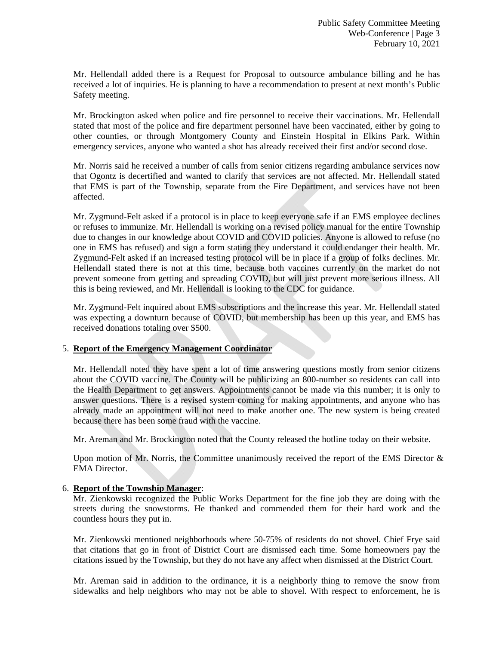Mr. Hellendall added there is a Request for Proposal to outsource ambulance billing and he has received a lot of inquiries. He is planning to have a recommendation to present at next month's Public Safety meeting.

Mr. Brockington asked when police and fire personnel to receive their vaccinations. Mr. Hellendall stated that most of the police and fire department personnel have been vaccinated, either by going to other counties, or through Montgomery County and Einstein Hospital in Elkins Park. Within emergency services, anyone who wanted a shot has already received their first and/or second dose.

Mr. Norris said he received a number of calls from senior citizens regarding ambulance services now that Ogontz is decertified and wanted to clarify that services are not affected. Mr. Hellendall stated that EMS is part of the Township, separate from the Fire Department, and services have not been affected.

Mr. Zygmund-Felt asked if a protocol is in place to keep everyone safe if an EMS employee declines or refuses to immunize. Mr. Hellendall is working on a revised policy manual for the entire Township due to changes in our knowledge about COVID and COVID policies. Anyone is allowed to refuse (no one in EMS has refused) and sign a form stating they understand it could endanger their health. Mr. Zygmund-Felt asked if an increased testing protocol will be in place if a group of folks declines. Mr. Hellendall stated there is not at this time, because both vaccines currently on the market do not prevent someone from getting and spreading COVID, but will just prevent more serious illness. All this is being reviewed, and Mr. Hellendall is looking to the CDC for guidance.

Mr. Zygmund-Felt inquired about EMS subscriptions and the increase this year. Mr. Hellendall stated was expecting a downturn because of COVID, but membership has been up this year, and EMS has received donations totaling over \$500.

### 5. **Report of the Emergency Management Coordinator**

 Mr. Hellendall noted they have spent a lot of time answering questions mostly from senior citizens about the COVID vaccine. The County will be publicizing an 800-number so residents can call into the Health Department to get answers. Appointments cannot be made via this number; it is only to answer questions. There is a revised system coming for making appointments, and anyone who has already made an appointment will not need to make another one. The new system is being created because there has been some fraud with the vaccine.

Mr. Areman and Mr. Brockington noted that the County released the hotline today on their website.

Upon motion of Mr. Norris, the Committee unanimously received the report of the EMS Director  $\&$ EMA Director.

### 6. **Report of the Township Manager**:

Mr. Zienkowski recognized the Public Works Department for the fine job they are doing with the streets during the snowstorms. He thanked and commended them for their hard work and the countless hours they put in.

 Mr. Zienkowski mentioned neighborhoods where 50-75% of residents do not shovel. Chief Frye said that citations that go in front of District Court are dismissed each time. Some homeowners pay the citations issued by the Township, but they do not have any affect when dismissed at the District Court.

 Mr. Areman said in addition to the ordinance, it is a neighborly thing to remove the snow from sidewalks and help neighbors who may not be able to shovel. With respect to enforcement, he is